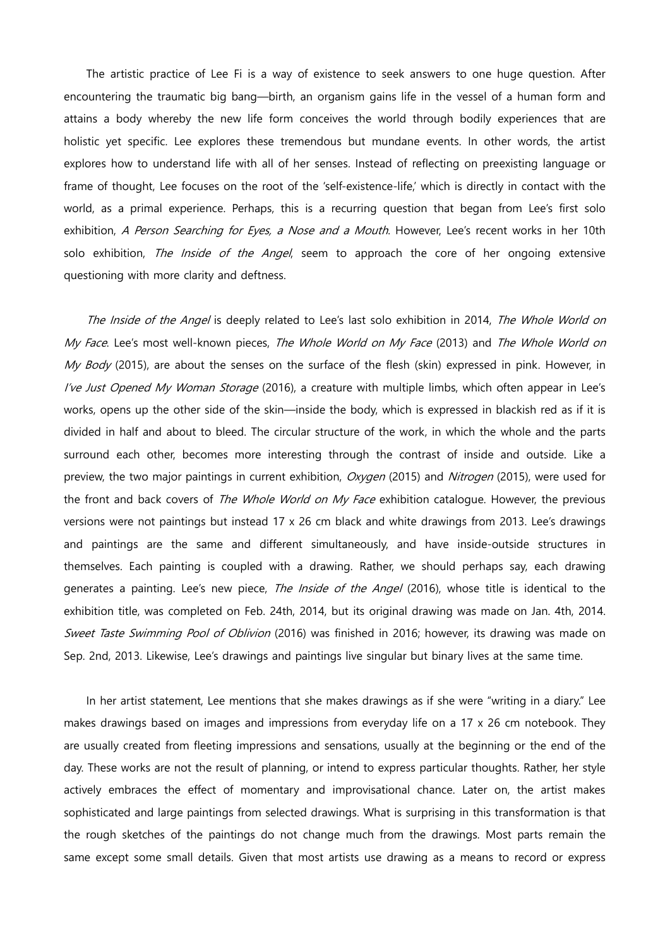The artistic practice of Lee Fi is a way of existence to seek answers to one huge question. After encountering the traumatic big bang—birth, an organism gains life in the vessel of a human form and attains a body whereby the new life form conceives the world through bodily experiences that are holistic yet specific. Lee explores these tremendous but mundane events. In other words, the artist explores how to understand life with all of her senses. Instead of reflecting on preexisting language or frame of thought, Lee focuses on the root of the 'self-existence-life,' which is directly in contact with the world, as a primal experience. Perhaps, this is a recurring question that began from Lee's first solo exhibition, A Person Searching for Eyes, a Nose and a Mouth. However, Lee's recent works in her 10th solo exhibition, *The Inside of the Angel*, seem to approach the core of her ongoing extensive questioning with more clarity and deftness.

The Inside of the Angel is deeply related to Lee's last solo exhibition in 2014, The Whole World on My Face. Lee's most well-known pieces, The Whole World on My Face (2013) and The Whole World on My Body (2015), are about the senses on the surface of the flesh (skin) expressed in pink. However, in I've Just Opened My Woman Storage (2016), a creature with multiple limbs, which often appear in Lee's works, opens up the other side of the skin—inside the body, which is expressed in blackish red as if it is divided in half and about to bleed. The circular structure of the work, in which the whole and the parts surround each other, becomes more interesting through the contrast of inside and outside. Like a preview, the two major paintings in current exhibition, Oxygen (2015) and Nitrogen (2015), were used for the front and back covers of *The Whole World on My Face* exhibition catalogue. However, the previous versions were not paintings but instead 17 x 26 cm black and white drawings from 2013. Lee's drawings and paintings are the same and different simultaneously, and have inside-outside structures in themselves. Each painting is coupled with a drawing. Rather, we should perhaps say, each drawing generates a painting. Lee's new piece, The Inside of the Angel (2016), whose title is identical to the exhibition title, was completed on Feb. 24th, 2014, but its original drawing was made on Jan. 4th, 2014. Sweet Taste Swimming Pool of Oblivion (2016) was finished in 2016; however, its drawing was made on Sep. 2nd, 2013. Likewise, Lee's drawings and paintings live singular but binary lives at the same time.

In her artist statement, Lee mentions that she makes drawings as if she were "writing in a diary." Lee makes drawings based on images and impressions from everyday life on a 17 x 26 cm notebook. They are usually created from fleeting impressions and sensations, usually at the beginning or the end of the day. These works are not the result of planning, or intend to express particular thoughts. Rather, her style actively embraces the effect of momentary and improvisational chance. Later on, the artist makes sophisticated and large paintings from selected drawings. What is surprising in this transformation is that the rough sketches of the paintings do not change much from the drawings. Most parts remain the same except some small details. Given that most artists use drawing as a means to record or express